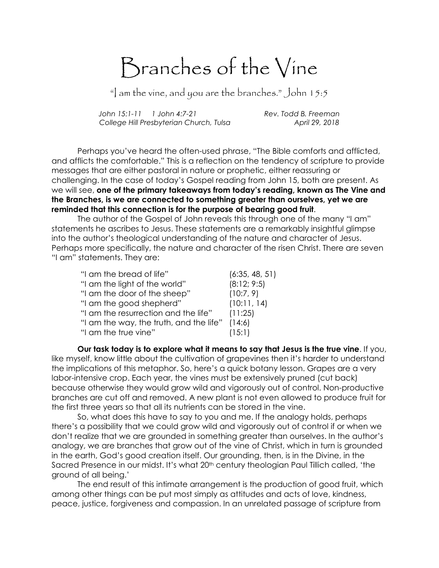## Branches of the Vine

"I am the vine, and you are the branches." John  $15:5$ 

John 15:1-11 1 John 4:7-21 Rev. Todd B. Freeman College Hill Presbyterian Church, Tulsa April 29, 2018

 Perhaps you've heard the often-used phrase, "The Bible comforts and afflicted, and afflicts the comfortable." This is a reflection on the tendency of scripture to provide messages that are either pastoral in nature or prophetic, either reassuring or challenging. In the case of today's Gospel reading from John 15, both are present. As we will see, one of the primary takeaways from today's reading, known as The Vine and the Branches, is we are connected to something greater than ourselves, yet we are reminded that this connection is for the purpose of bearing good fruit.

 The author of the Gospel of John reveals this through one of the many "I am" statements he ascribes to Jesus. These statements are a remarkably insightful glimpse into the author's theological understanding of the nature and character of Jesus. Perhaps more specifically, the nature and character of the risen Christ. There are seven "I am" statements. They are:

| "I am the bread of life"                | (6:35, 48, 51) |
|-----------------------------------------|----------------|
| "I am the light of the world"           | (8:12; 9:5)    |
| "I am the door of the sheep"            | (10:7, 9)      |
| "I am the good shepherd"                | (10:11, 14)    |
| "I am the resurrection and the life"    | (11:25)        |
| "I am the way, the truth, and the life" | (14:6)         |
| "I am the true vine"                    | (15:1)         |

Our task today is to explore what it means to say that Jesus is the true vine. If you, like myself, know little about the cultivation of grapevines then it's harder to understand the implications of this metaphor. So, here's a quick botany lesson. Grapes are a very labor-intensive crop. Each year, the vines must be extensively pruned (cut back) because otherwise they would grow wild and vigorously out of control. Non-productive branches are cut off and removed. A new plant is not even allowed to produce fruit for the first three years so that all its nutrients can be stored in the vine.

 So, what does this have to say to you and me. If the analogy holds, perhaps there's a possibility that we could grow wild and vigorously out of control if or when we don't realize that we are grounded in something greater than ourselves. In the author's analogy, we are branches that grow out of the vine of Christ, which in turn is grounded in the earth, God's good creation itself. Our grounding, then, is in the Divine, in the Sacred Presence in our midst. It's what 20<sup>th</sup> century theologian Paul Tillich called, 'the ground of all being.'

 The end result of this intimate arrangement is the production of good fruit, which among other things can be put most simply as attitudes and acts of love, kindness, peace, justice, forgiveness and compassion. In an unrelated passage of scripture from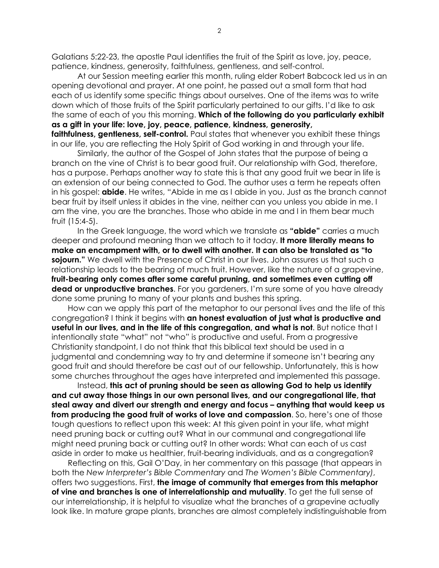Galatians 5:22-23, the apostle Paul identifies the fruit of the Spirit as love, joy, peace, patience, kindness, generosity, faithfulness, gentleness, and self-control.

At our Session meeting earlier this month, ruling elder Robert Babcock led us in an opening devotional and prayer. At one point, he passed out a small form that had each of us identify some specific things about ourselves. One of the items was to write down which of those fruits of the Spirit particularly pertained to our gifts. I'd like to ask the same of each of you this morning. Which of the following do you particularly exhibit as a gift in your life: love, joy, peace, patience, kindness, generosity, faithfulness, gentleness, self-control. Paul states that whenever you exhibit these things

in our life, you are reflecting the Holy Spirit of God working in and through your life. Similarly, the author of the Gospel of John states that the purpose of being a branch on the vine of Christ is to bear good fruit. Our relationship with God, therefore, has a purpose. Perhaps another way to state this is that any good fruit we bear in life is an extension of our being connected to God. The author uses a term he repeats often in his gospel: **abide**. He writes, "Abide in me as I abide in you. Just as the branch cannot bear fruit by itself unless it abides in the vine, neither can you unless you abide in me. I am the vine, you are the branches. Those who abide in me and I in them bear much fruit (15:4-5).

In the Greek language, the word which we translate as "abide" carries a much deeper and profound meaning than we attach to it today. It more literally means to make an encampment with, or to dwell with another. It can also be translated as "to sojourn." We dwell with the Presence of Christ in our lives. John assures us that such a relationship leads to the bearing of much fruit. However, like the nature of a grapevine, fruit-bearing only comes after some careful pruning, and sometimes even cutting off dead or unproductive branches. For you gardeners, I'm sure some of you have already done some pruning to many of your plants and bushes this spring.

How can we apply this part of the metaphor to our personal lives and the life of this congregation? I think it begins with an honest evaluation of just what is productive and useful in our lives, and in the life of this congregation, and what is not. But notice that I intentionally state "what" not "who" is productive and useful. From a progressive Christianity standpoint, I do not think that this biblical text should be used in a judgmental and condemning way to try and determine if someone isn't bearing any good fruit and should therefore be cast out of our fellowship. Unfortunately, this is how some churches throughout the ages have interpreted and implemented this passage.

 Instead, this act of pruning should be seen as allowing God to help us identify and cut away those things in our own personal lives, and our congregational life, that steal away and divert our strength and energy and focus – anything that would keep us from producing the good fruit of works of love and compassion. So, here's one of those tough questions to reflect upon this week: At this given point in your life, what might need pruning back or cutting out? What in our communal and congregational life might need pruning back or cutting out? In other words: What can each of us cast aside in order to make us healthier, fruit-bearing individuals, and as a congregation?

 Reflecting on this, Gail O'Day, in her commentary on this passage (that appears in both the New Interpreter's Bible Commentary and The Women's Bible Commentary), offers two suggestions. First, the image of community that emerges from this metaphor of vine and branches is one of interrelationship and mutuality. To get the full sense of our interrelationship, it is helpful to visualize what the branches of a grapevine actually look like. In mature grape plants, branches are almost completely indistinguishable from